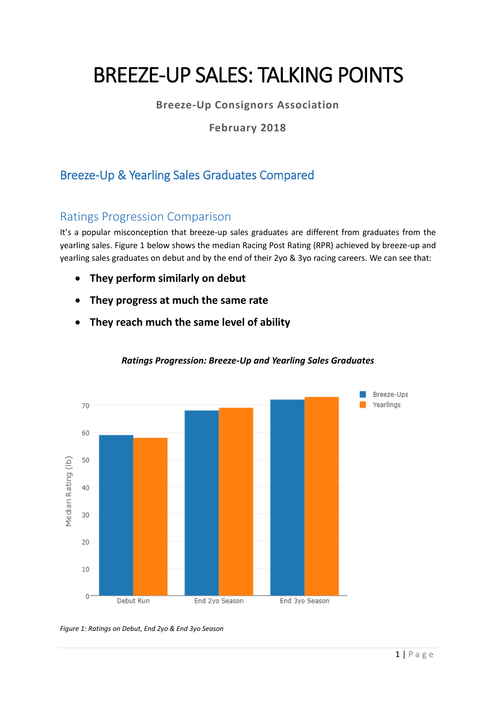# BREEZE-UP SALES: TALKING POINTS

**Breeze-Up Consignors Association**

**February 2018**

# Breeze-Up & Yearling Sales Graduates Compared

#### Ratings Progression Comparison

It's a popular misconception that breeze-up sales graduates are different from graduates from the yearling sales. Figure 1 below shows the median Racing Post Rating (RPR) achieved by breeze-up and yearling sales graduates on debut and by the end of their 2yo & 3yo racing careers. We can see that:

- **They perform similarly on debut**
- **They progress at much the same rate**
- **They reach much the same level of ability**



#### *Ratings Progression: Breeze-Up and Yearling Sales Graduates*

*Figure 1: Ratings on Debut, End 2yo & End 3yo Season*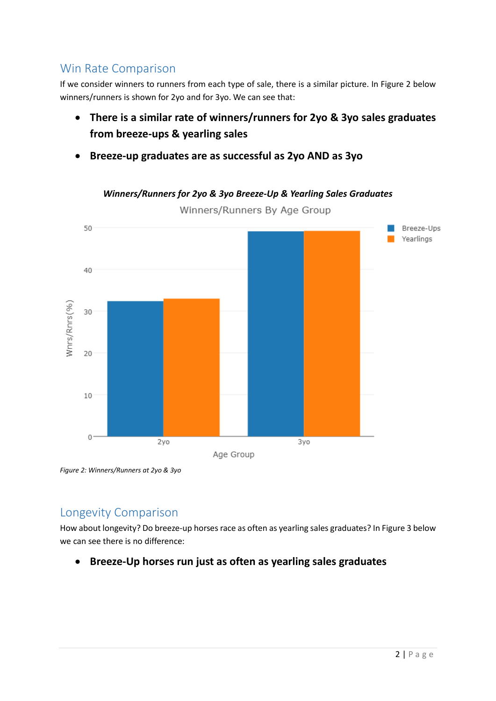## Win Rate Comparison

If we consider winners to runners from each type of sale, there is a similar picture. In Figure 2 below winners/runners is shown for 2yo and for 3yo. We can see that:

- **There is a similar rate of winners/runners for 2yo & 3yo sales graduates from breeze-ups & yearling sales**
- **Breeze-up graduates are as successful as 2yo AND as 3yo**



*Winners/Runners for 2yo & 3yo Breeze-Up & Yearling Sales Graduates*

*Figure 2: Winners/Runners at 2yo & 3yo*

#### Longevity Comparison

How about longevity? Do breeze-up horses race as often as yearling sales graduates? In Figure 3 below we can see there is no difference:

• **Breeze-Up horses run just as often as yearling sales graduates**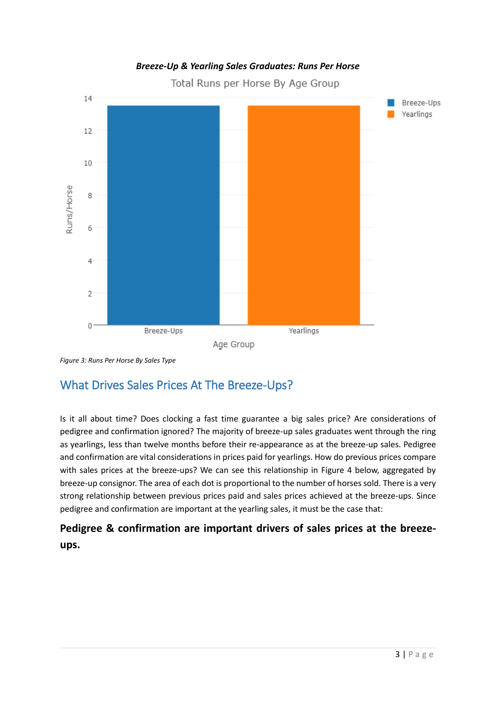#### *Breeze-Up & Yearling Sales Graduates: Runs Per Horse*

Total Runs per Horse By Age Group



*Figure 3: Runs Per Horse By Sales Type*

## What Drives Sales Prices At The Breeze-Ups?

Is it all about time? Does clocking a fast time guarantee a big sales price? Are considerations of pedigree and confirmation ignored? The majority of breeze-up sales graduates went through the ring as yearlings, less than twelve months before their re-appearance as at the breeze-up sales. Pedigree and confirmation are vital considerations in prices paid for yearlings. How do previous prices compare with sales prices at the breeze-ups? We can see this relationship in Figure 4 below, aggregated by breeze-up consignor. The area of each dot is proportional to the number of horses sold. There is a very strong relationship between previous prices paid and sales prices achieved at the breeze-ups. Since pedigree and confirmation are important at the yearling sales, it must be the case that:

### **Pedigree & confirmation are important drivers of sales prices at the breezeups.**